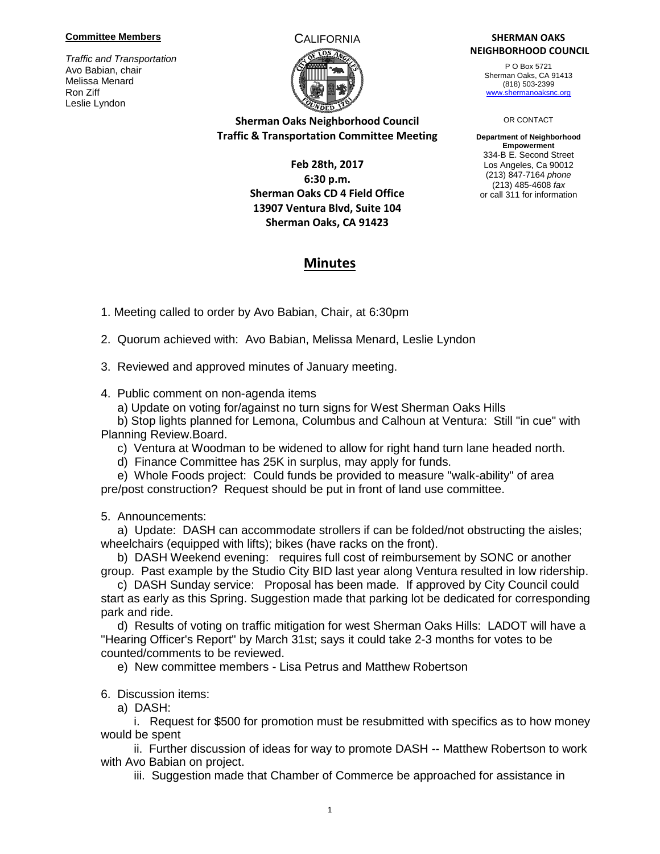### **Committee Members**

*Traffic and Transportation* Avo Babian, chair Melissa Menard Ron Ziff Leslie Lyndon



## **Sherman Oaks Neighborhood Council Traffic & Transportation Committee Meeting**

## **Feb 28th, 2017 6:30 p.m. Sherman Oaks CD 4 Field Office 13907 Ventura Blvd, Suite 104 Sherman Oaks, CA 91423**

### CALIFORNIA **SHERMAN OAKS NEIGHBORHOOD COUNCIL**

P O Box 5721 Sherman Oaks, CA 91413 (818) 503-2399 [www.shermanoaksnc.org](http://www.shermanoaksnc.org/)

#### OR CONTACT

**Department of Neighborhood Empowerment** 334-B E. Second Street Los Angeles, Ca 90012 (213) 847-7164 *phone* (213) 485-4608 *fax* or call 311 for information

# **Minutes**

1. Meeting called to order by Avo Babian, Chair, at 6:30pm

2. Quorum achieved with: Avo Babian, Melissa Menard, Leslie Lyndon

3. Reviewed and approved minutes of January meeting.

4. Public comment on non-agenda items

a) Update on voting for/against no turn signs for West Sherman Oaks Hills

 b) Stop lights planned for Lemona, Columbus and Calhoun at Ventura: Still "in cue" with Planning Review.Board.

c) Ventura at Woodman to be widened to allow for right hand turn lane headed north.

d) Finance Committee has 25K in surplus, may apply for funds.

 e) Whole Foods project: Could funds be provided to measure "walk-ability" of area pre/post construction? Request should be put in front of land use committee.

5. Announcements:

 a) Update: DASH can accommodate strollers if can be folded/not obstructing the aisles; wheelchairs (equipped with lifts); bikes (have racks on the front).

 b) DASH Weekend evening: requires full cost of reimbursement by SONC or another group. Past example by the Studio City BID last year along Ventura resulted in low ridership.

 c) DASH Sunday service: Proposal has been made. If approved by City Council could start as early as this Spring. Suggestion made that parking lot be dedicated for corresponding park and ride.

 d) Results of voting on traffic mitigation for west Sherman Oaks Hills: LADOT will have a "Hearing Officer's Report" by March 31st; says it could take 2-3 months for votes to be counted/comments to be reviewed.

e) New committee members - Lisa Petrus and Matthew Robertson

6. Discussion items:

a) DASH:

 i. Request for \$500 for promotion must be resubmitted with specifics as to how money would be spent

 ii. Further discussion of ideas for way to promote DASH -- Matthew Robertson to work with Avo Babian on project.

iii. Suggestion made that Chamber of Commerce be approached for assistance in